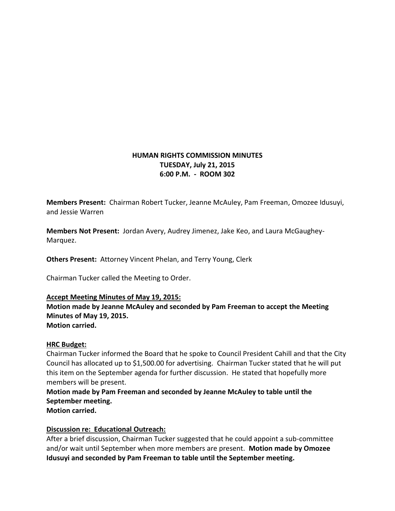## **HUMAN RIGHTS COMMISSION MINUTES TUESDAY, July 21, 2015 6:00 P.M. - ROOM 302**

**Members Present:** Chairman Robert Tucker, Jeanne McAuley, Pam Freeman, Omozee Idusuyi, and Jessie Warren

**Members Not Present:** Jordan Avery, Audrey Jimenez, Jake Keo, and Laura McGaughey-Marquez.

**Others Present:** Attorney Vincent Phelan, and Terry Young, Clerk

Chairman Tucker called the Meeting to Order.

### **Accept Meeting Minutes of May 19, 2015:**

**Motion made by Jeanne McAuley and seconded by Pam Freeman to accept the Meeting Minutes of May 19, 2015. Motion carried.**

### **HRC Budget:**

Chairman Tucker informed the Board that he spoke to Council President Cahill and that the City Council has allocated up to \$1,500.00 for advertising. Chairman Tucker stated that he will put this item on the September agenda for further discussion. He stated that hopefully more members will be present.

**Motion made by Pam Freeman and seconded by Jeanne McAuley to table until the September meeting.**

**Motion carried.**

# **Discussion re: Educational Outreach:**

After a brief discussion, Chairman Tucker suggested that he could appoint a sub-committee and/or wait until September when more members are present. **Motion made by Omozee Idusuyi and seconded by Pam Freeman to table until the September meeting.**